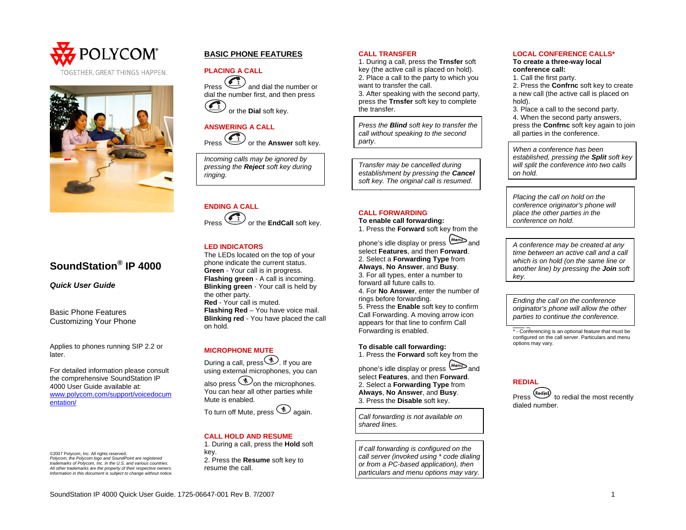



# **SoundStation® IP 4000**

# *Quick User Guide*

Basic Phone Features Customizing Your Phone

Applies to phones running SIP 2.2 or later.

For detailed information please consult the comprehensive SoundStation IP 4000 User Guide available at: [www.polycom.com/support/voicedocum](http://www.polycom.com/support/voicedocumentation/) [entation/](http://www.polycom.com/support/voicedocumentation/)

©2007 Polycom, Inc. All rights reserved. *Polycom, the Polycom logo and SoundPoint are registered trademarks of Polycom, Inc. in the U.S. and various countries. All other trademarks are the property of their respective owners. Information in this document is subject to change without notice.*

# **BASIC PHONE FEATURES**



Press and dial the number or dial the number first, and then press  $\bigcirc$ or the **Dial** soft key.



*Incoming calls may be ignored by pressing the Reject soft key during ringing.* 

# **ENDING A CALL** Press  $\overbrace{\mathbb{C}^{\bullet}}$  or the **EndCall** soft key.

# **LED INDICATORS**

The LEDs located on the top of your phone indicate the current status. **Green** - Your call is in progress. **Flashing green** - A call is incoming. **Blinking green** - Your call is held by the other party. **Red** - Your call is muted. **Flashing Red** – You have voice mail. **Blinking red** - You have placed the call on hold.

### **MICROPHONE MUTE**

During a call, press  $\circledast$ . If you are using external microphones, you can also press solution the microphones. You can hear all other parties while Mute is enabled. To turn off Mute, press  $\circledast$  again.

**CALL HOLD AND RESUME** 

1. During a call, press the **Hold** soft key. 2. Press the **Resume** soft key to resume the call.

#### **CALL TRANSFER**

1. During a call, press the **Trnsfer** soft key (the active call is placed on hold). 2. Place a call to the party to which you want to transfer the call. 3. After speaking with the second party, press the **Trnsfer** soft key to complete the transfer.

*Press the Blind soft key to transfer the call without speaking to the second party*.

*Transfer may be cancelled during establishment by pressing the Cancel soft key. The original call is resumed*.

## **CALL FORWARDING**

**To enable call forwarding:** 1. Press the **Forward** soft key from the

phone's idle display or press (Memo and select **Features**, and then **Forward**. 2. Select a **Forwarding Type** from **Always**, **No Answer**, and **Busy**. 3. For all types, enter a number to forward all future calls to. 4. For **No Answer**, enter the number of rings before forwarding. 5. Press the **Enable** soft key to confirm Call Forwarding. A moving arrow icon appears for that line to confirm Call Forwarding is enabled.

**To disable call forwarding:**  1. Press the **Forward** soft key from the

phone's idle display or press (Menu and select **Features**, and then **Forward**. 2. Select a **Forwarding Type** from **Always**, **No Answer**, and **Busy**. 3. Press the **Disable** soft key.

*Call forwarding is not available on shared lines.* 

*If call forwarding is configured on the call server (invoked using \* code dialing or from a PC-based application), then particulars and menu options may vary.*

#### **LOCAL CONFERENCE CALLS\***

**To create a three-way local conference call:** 

1. Call the first party.

2. Press the **Confrnc** soft key to create a new call (the active call is placed on hold).

3. Place a call to the second party. 4. When the second party answers, press the **Confrnc** soft key again to join all parties in the conference.

*When a conference has been established, pressing the Split soft key will split the conference into two calls on hold.* 

*Placing the call on hold on the conference originator's phone will place the other parties in the conference on hold*.

*A conference may be created at any time between an active call and a call which is on hold (on the same line or another line) by pressing the Join soft key.* 

*Ending the call on the conference originator's phone will allow the other parties to continue the conference.* 

\_\_\_ \_ \* - Conferencing is an optional feature that must be configured on the call server. Particulars and menu options may vary.

**REDIAL** 

Press (Regial) to redial the most recently dialed number.